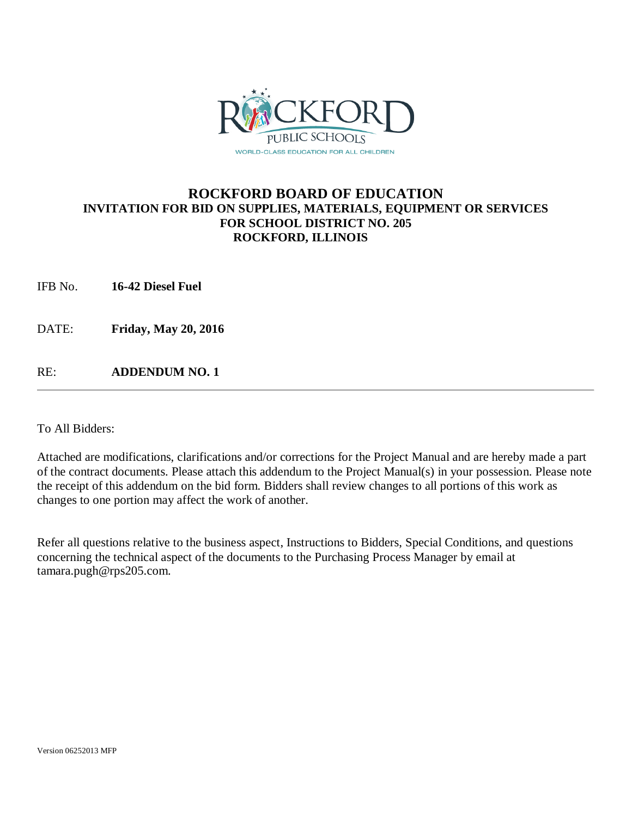

## **ROCKFORD BOARD OF EDUCATION INVITATION FOR BID ON SUPPLIES, MATERIALS, EQUIPMENT OR SERVICES FOR SCHOOL DISTRICT NO. 205 ROCKFORD, ILLINOIS**

IFB No. **16-42 Diesel Fuel**

DATE: **Friday, May 20, 2016**

RE: **ADDENDUM NO. 1**

To All Bidders:

Attached are modifications, clarifications and/or corrections for the Project Manual and are hereby made a part of the contract documents. Please attach this addendum to the Project Manual(s) in your possession. Please note the receipt of this addendum on the bid form. Bidders shall review changes to all portions of this work as changes to one portion may affect the work of another.

Refer all questions relative to the business aspect, Instructions to Bidders, Special Conditions, and questions concerning the technical aspect of the documents to the Purchasing Process Manager by email at tamara.pugh@rps205.com.